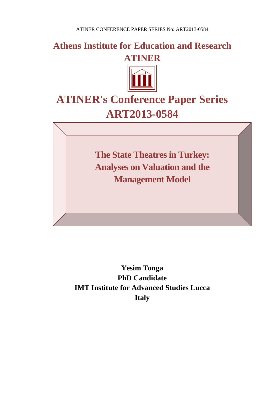**Athens Institute for Education and Research ATINER**



# **ATINER's Conference Paper Series ART2013-0584**

**The State Theatres in Turkey: Analyses on Valuation and the Management Model**

**Yesim Tonga PhD Candidate IMT Institute for Advanced Studies Lucca Italy**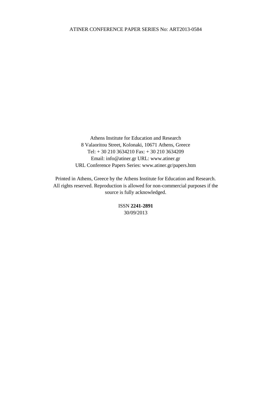Athens Institute for Education and Research 8 Valaoritou Street, Kolonaki, 10671 Athens, Greece Tel: + 30 210 3634210 Fax: + 30 210 3634209 Email: info@atiner.gr URL: www.atiner.gr URL Conference Papers Series: www.atiner.gr/papers.htm

Printed in Athens, Greece by the Athens Institute for Education and Research. All rights reserved. Reproduction is allowed for non-commercial purposes if the source is fully acknowledged.

> ISSN **2241-2891** 30/09/2013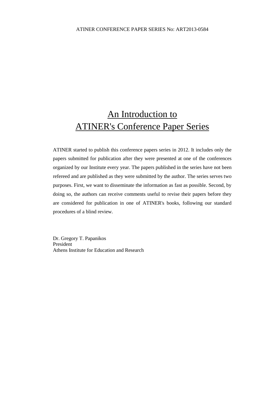# An Introduction to ATINER's Conference Paper Series

ATINER started to publish this conference papers series in 2012. It includes only the papers submitted for publication after they were presented at one of the conferences organized by our Institute every year. The papers published in the series have not been refereed and are published as they were submitted by the author. The series serves two purposes. First, we want to disseminate the information as fast as possible. Second, by doing so, the authors can receive comments useful to revise their papers before they are considered for publication in one of ATINER's books, following our standard procedures of a blind review.

Dr. Gregory T. Papanikos President Athens Institute for Education and Research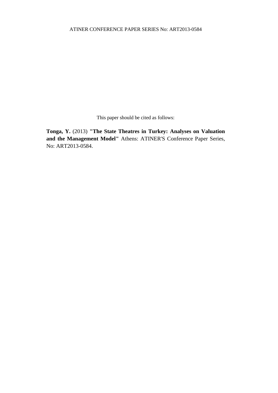This paper should be cited as follows:

**Tonga, Y.** (2013) **"The State Theatres in Turkey: Analyses on Valuation and the Management Model"** Athens: ATINER'S Conference Paper Series, No: ART2013-0584.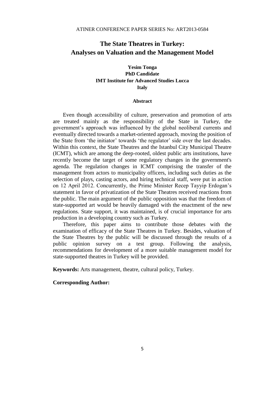# **The State Theatres in Turkey: Analyses on Valuation and the Management Model**

# **Yesim Tonga PhD Candidate IMT Institute for Advanced Studies Lucca Italy**

#### **Abstract**

Even though accessibility of culture, preservation and promotion of arts are treated mainly as the responsibility of the State in Turkey, the government's approach was influenced by the global neoliberal currents and eventually directed towards a market-oriented approach, moving the position of the State from 'the initiator' towards 'the regulator' side over the last decades. Within this context, the State Theatres and the Istanbul City Municipal Theatre (ICMT), which are among the deep-rooted, oldest public arts institutions, have recently become the target of some regulatory changes in the government's agenda. The regulation changes in ICMT comprising the transfer of the management from actors to municipality officers, including such duties as the selection of plays, casting actors, and hiring technical staff, were put in action on 12 April 2012. Concurrently, the Prime Minister Recep Tayyip Erdogan's statement in favor of privatization of the State Theatres received reactions from the public. The main argument of the public opposition was that the freedom of state-supported art would be heavily damaged with the enactment of the new regulations. State support, it was maintained, is of crucial importance for arts production in a developing country such as Turkey.

Therefore, this paper aims to contribute those debates with the examination of efficacy of the State Theatres in Turkey. Besides, valuation of the State Theatres by the public will be discussed through the results of a public opinion survey on a test group. Following the analysis, recommendations for development of a more suitable management model for state-supported theatres in Turkey will be provided.

**Keywords:** Arts management, theatre, cultural policy, Turkey.

#### **Corresponding Author:**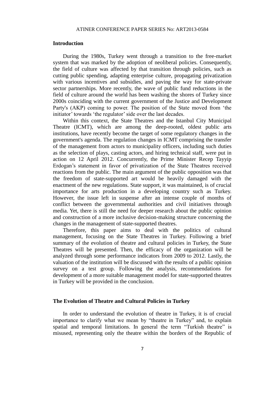#### **Introduction**

During the 1980s, Turkey went through a transition to the free-market system that was marked by the adoption of neoliberal policies. Consequently, the field of culture was affected by that transition through policies, such as cutting public spending, adapting enterprise culture, propagating privatization with various incentives and subsidies, and paving the way for state-private sector partnerships. More recently, the wave of public fund reductions in the field of culture around the world has been washing the shores of Turkey since 2000s coinciding with the current government of the Justice and Development Party's (AKP) coming to power. The position of the State moved from 'the initiator' towards 'the regulator' side over the last decades.

Within this context, the State Theatres and the Istanbul City Municipal Theatre (ICMT), which are among the deep-rooted, oldest public arts institutions, have recently become the target of some regulatory changes in the government's agenda. The regulation changes in ICMT comprising the transfer of the management from actors to municipality officers, including such duties as the selection of plays, casting actors, and hiring technical staff, were put in action on 12 April 2012. Concurrently, the Prime Minister Recep Tayyip Erdogan's statement in favor of privatization of the State Theatres received reactions from the public. The main argument of the public opposition was that the freedom of state-supported art would be heavily damaged with the enactment of the new regulations. State support, it was maintained, is of crucial importance for arts production in a developing country such as Turkey. However, the issue left in suspense after an intense couple of months of conflict between the governmental authorities and civil initiatives through media. Yet, there is still the need for deeper research about the public opinion and construction of a more inclusive decision-making structure concerning the changes in the management of state-supported theatres.

Therefore, this paper aims to deal with the politics of cultural management, focusing on the State Theatres in Turkey. Following a brief summary of the evolution of theatre and cultural policies in Turkey, the State Theatres will be presented. Then, the efficacy of the organization will be analyzed through some performance indicators from 2009 to 2012. Lastly, the valuation of the institution will be discussed with the results of a public opinion survey on a test group. Following the analysis, recommendations for development of a more suitable management model for state-supported theatres in Turkey will be provided in the conclusion.

#### **The Evolution of Theatre and Cultural Policies in Turkey**

In order to understand the evolution of theatre in Turkey, it is of crucial importance to clarify what we mean by "theatre in Turkey" and, to explain spatial and temporal limitations. In general the term "Turkish theatre" is misused, representing only the theatre within the borders of the Republic of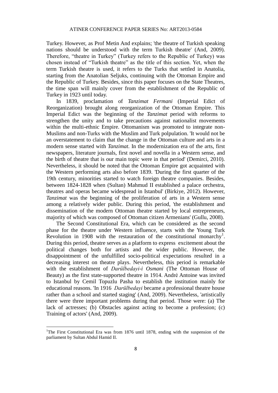Turkey. However, as Prof Metin And explains; 'the theatre of Turkish speaking nations should be understood with the term Turkish theatre' (And, 2009). Therefore, "theatre in Turkey" (Turkey refers to the Republic of Turkey) was chosen instead of "Turkish theatre" as the title of this section. Yet, when the term Turkish theatre is used, it refers to the Turks that settled in Anatolia, starting from the Anatolian Seljuks, continuing with the Ottoman Empire and the Republic of Turkey. Besides, since this paper focuses on the State Theatres, the time span will mainly cover from the establishment of the Republic of Turkey in 1923 until today.

In 1839, proclamation of *Tanzimat Fermani* (Imperial Edict of Reorganization) brought along reorganization of the Ottoman Empire. This Imperial Edict was the beginning of the *Tanzimat* period with reforms to strengthen the unity and to take precautions against nationalist movements within the multi-ethnic Empire. Ottomanism was promoted to integrate non-Muslims and non-Turks with the Muslim and Turk polpulation. 'It would not be an overstatement to claim that the change in the Ottoman culture and arts in a modern sense started with *Tanzimat*. In the modernization era of the arts, first newspapers, literature journals, first novel and novella in a Western sense, and the birth of theatre that is our main topic were in that period' (Demirci, 2010). Nevertheless, it should be noted that the Ottoman Empire got acquainted with the Western performing arts also before 1839. 'During the first quarter of the 19th century, minorities started to watch foreign theatre companies. Besides, between 1824-1828 when (Sultan) Mahmud II established a palace orchestra, theatres and operas became widespread in Istanbul' (Birkiye, 2012). However, *Tanzimat* was the beginning of the proliferation of arts in a Western sense among a relatively wider public. During this period, 'the establishment and dissemination of the modern Ottoman theatre started by local entrepreneurs, majority of which was composed of Ottoman citizen Armenians' (Gullu, 2008).

The Second Constitutional Era, which can be considered as the second phase for the theatre under Western influence, starts with the Young Turk Revolution in 1908 with the restauration of the constitutional monarchy<sup>1</sup>. During this period, theatre serves as a platform to express excitement about the political changes both for artists and the wider public. However, the disappointment of the unfulfilled socio-political expectations resulted in a decreasing interest on theatre plays. Nevertheless, this period is remarkable with the establishment of *Darülbedayi-i Osmani* (The Ottoman House of Beauty) as the first state-supported theatre in 1914. André Antoine was invited to Istanbul by Cemil Topuzlu Pasha to establish the institution mainly for educational reasons. 'In 1916 *Darülbedayi* became a professional theatre house rather than a school and started staging' (And, 2009). Nevertheless, 'artistically there were three important problems during that period. Those were: (a) The lack of actresses; (b) Obstacles against acting to become a profession; (c) Training of actors' (And, 2009).

 $\overline{a}$ 

<sup>&</sup>lt;sup>1</sup>The First Constitutional Era was from 1876 until 1878, ending with the suspension of the parliament by Sultan Abdul Hamid II.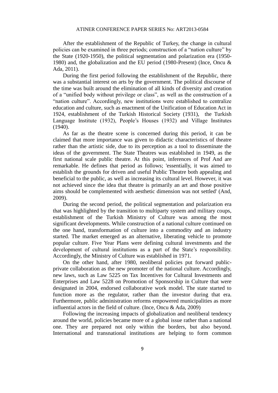After the establishment of the Republic of Turkey, the change in cultural policies can be examined in three periods; construction of a "nation culture" by the State (1920-1950), the political segmentation and polarization era (1950- 1980) and, the globalization and the EU period (1980-Present) (Ince, Oncu & Ada, 2011).

During the first period following the establishment of the Republic, there was a substantial interest on arts by the government. The political discourse of the time was built around the elimination of all kinds of diversity and creation of a "unified body without privilege or class", as well as the construction of a "nation culture". Accordingly, new institutions were established to centralize education and culture, such as enactment of the Unification of Education Act in 1924, establishment of the Turkish Historical Society (1931), the Turkish Language Institute (1932), People's Houses (1932) and Village Institutes (1940).

As far as the theatre scene is concerned during this period, it can be claimed that more importance was given to didactic characteristics of theatre rather than the artistic side, due to its perception as a tool to disseminate the ideas of the government. The State Theatres was established in 1949, as the first national scale public theatre. At this point, inferences of Prof And are remarkable. He defines that period as follows; 'essentially, it was aimed to establish the grounds for driven and useful Public Theatre both appealing and beneficial to the public, as well as increasing its cultural level. However, it was not achieved since the idea that theatre is primarily an art and those positive aims should be complemented with aesthetic dimension was not settled' (And, 2009).

During the second period, the political segmentation and polarization era that was highlighted by the transition to multiparty system and military coups, establishment of the Turkish Ministry of Culture was among the most significant developments. While construction of a national culture continued on the one hand, transformation of culture into a commodity and an industry started. The market emerged as an alternative, liberating vehicle to promote popular culture. Five Year Plans were defining cultural investments and the development of cultural institutions as a part of the State's responsibility. Accordingly, the Ministry of Culture was established in 1971.

On the other hand, after 1980, neoliberal policies put forward publicprivate collaboration as the new promoter of the national culture. Accordingly, new laws, such as Law 5225 on Tax Incentives for Cultural Investments and Enterprises and Law 5228 on Promotion of Sponsorship in Culture that were designated in 2004, endorsed collaborative work model. The state started to function more as the regulator, rather than the investor during that era. Furthermore, public administration reforms empowered municipalities as more influential actors in the field of culture. (Ince, Oncu & Ada, 2009)

Following the increasing impacts of globalization and neoliberal tendency around the world, policies became more of a global issue rather than a national one. They are prepared not only within the borders, but also beyond. International and transnational institutions are helping to form common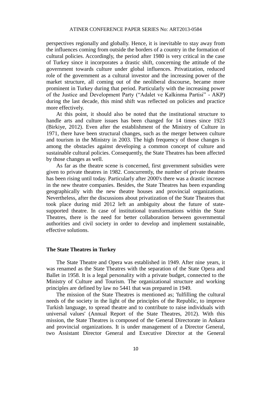perspectives regionally and globally. Hence, it is inevitable to stay away from the influences coming from outside the borders of a country in the formation of cultural policies. Accordingly, the period after 1980 is very critical in the case of Turkey since it incorporates a drastic shift, concerning the attitude of the government towards culture under global influences. Privatization, reduced role of the government as a cultural investor and the increasing power of the market structure, all coming out of the neoliberal discourse, became more prominent in Turkey during that period. Particularly with the increasing power of the Justice and Development Party ("Adalet ve Kalkinma Partisi" - AKP) during the last decade, this mind shift was reflected on policies and practice more effectively.

At this point, it should also be noted that the institutional structure to handle arts and culture issues has been changed for 14 times since 1923 (Birkiye, 2012). Even after the establishment of the Ministry of Culture in 1971, there have been structural changes, such as the merger between culture and tourism in the Ministry in 2003. The high frequency of those changes is among the obstacles against developing a common concept of culture and sustainable cultural policies. Consequently, the State Theatres has been affected by those changes as well.

As far as the theatre scene is concerned, first government subsidies were given to private theatres in 1982. Concurrently, the number of private theatres has been rising until today. Particularly after 2000's there was a drastic increase in the new theatre companies. Besides, the State Theatres has been expanding geographically with the new theatre houses and provincial organizations. Nevertheless, after the discussions about privatization of the State Theatres that took place during mid 2012 left an ambiguity about the future of statesupported theatre. In case of institutional transformations within the State Theatres, there is the need for better collaboration between governmental authorities and civil society in order to develop and implement sustainable, effective solutions.

#### **The State Theatres in Turkey**

The State Theatre and Opera was established in 1949. After nine years, it was renamed as the State Theatres with the separation of the State Opera and Ballet in 1958. It is a legal personality with a private budget, connected to the Ministry of Culture and Tourism. The organizational structure and working principles are defined by law no 5441 that was prepared in 1949.

The mission of the State Theatres is mentioned as; 'fulfilling the cultural needs of the society in the light of the principles of the Republic, to improve Turkish language, to spread theatre and to contribute to raise individuals with universal values' (Annual Report of the State Theatres, 2012). With this mission, the State Theatres is composed of the General Directorate in Ankara and provincial organizations. It is under management of a Director General, two Assistant Director General and Executive Director at the General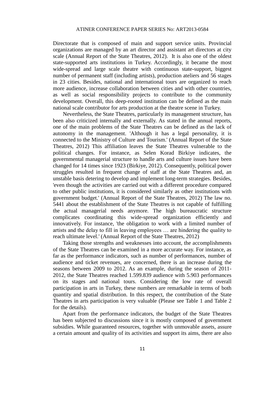Directorate that is composed of main and support service units. Provincial organizations are managed by an art director and assistant art directors at city scale (Annual Report of the State Theatres, 2012). It is also one of the oldest state-supported arts institutions in Turkey. Accordingly, it became the most wide-spread and large scale theatre with continuous state-support, biggest number of permanent staff (including artists), production ateliers and 56 stages in 23 cities. Besides, national and international tours are organized to reach more audience, increase collaboration between cities and with other countries, as well as social responsibility projects to contribute to the community development. Overall, this deep-rooted institution can be defined as the main national scale contributor for arts production at the theatre scene in Turkey.

Nevertheless, the State Theatres, particularly its management structure, has been also criticized internally and externally. As stated in the annual reports, one of the main problems of the State Theatres can be defined as the lack of autonomy in the management. 'Although it has a legal personality, it is connected to the Ministry of Culture and Tourism.' (Annual Report of the State Theatres, 2012) This affiliation leaves the State Theatres vulnerable to the political changes. For instance, as Selen Korad Birkiye indicates, the governmental managerial structure to handle arts and culture issues have been changed for 14 times since 1923 (Birkiye, 2012). Consequently, political power struggles resulted in frequent change of staff at the State Theatres and, an unstable basis detering to develop and implement long-term strategies. Besides, 'even though the activities are carried out with a different procedure compared to other public institutions, it is considered similarly as other institutions with government budget.' (Annual Report of the State Theatres, 2012) The law no. 5441 about the establishment of the State Theatres is not capable of fulfilling the actual managerial needs anymore. The high bureaucratic structure complicates coordinating this wide-spread organization efficiently and innovatively. For instance, 'the obligation to work with a limited number of artists and the delay to fill in leaving employees … are hindering the quality to reach ultimate level.' (Annual Report of the State Theatres, 2012)

Taking those strengths and weaknesses into account, the accomplishments of the State Theatres can be examined in a more accurate way. For instance, as far as the performance indicators, such as number of performances, number of audience and ticket revenues, are concerned, there is an increase during the seasons between 2009 to 2012. As an example, during the season of 2011- 2012, the State Theatres reached 1.599.839 audience with 5.903 performances on its stages and national tours. Considering the low rate of overall participation in arts in Turkey, these numbers are remarkable in terms of both quantity and spatial distribution. In this respect, the contribution of the State Theatres in arts participation is very valuable (Please see Table 1 and Table 2 for the details).

Apart from the performance indicators, the budget of the State Theatres has been subjected to discussions since it is mostly composed of government subsidies. While guaranteed resources, together with unmovable assets, assure a certain amount and quality of its activities and support its aims, there are also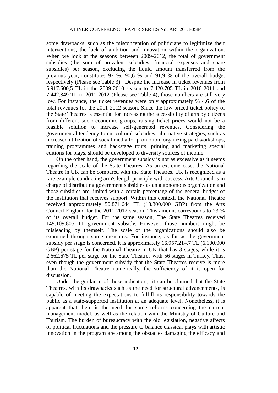some drawbacks, such as the misconception of politicians to legitimize their interventions, the lack of ambition and innovation within the organization. When we look at the seasons between 2009-2012, the total of government subsidies (the sum of prevalent subsidies, financial expenses and spare subsidies) per season, excluding the liquid amount transferred from the previous year, constitutes 92 %, 90,6 % and 91,9 % of the overall budget respectively (Please see Table 3). Despite the increase in ticket revenues from 5.917.600,5 TL in the 2009-2010 season to 7.420.705 TL in 2010-2011 and 7.442.849 TL in 2011-2012 (Please see Table 4), those numbers are still very low. For instance, the ticket revenues were only approximately % 4,6 of the total revenues for the 2011-2012 season. Since the low-priced ticket policy of the State Theatres is essential for increasing the accessibility of arts by citizens from different socio-economic groups, raising ticket prices would not be a feasible solution to increase self-generated revenues. Considering the governmental tendency to cut cultural subsidies, alternative strategies, such as increased utilization of social media for promotion, organizing paid workshops, training programmes and backstage tours, printing and marketing special editions for plays, should be developed to diversify sources of income.

On the other hand, the government subsidy is not as excessive as it seems regarding the scale of the State Theatres. As an extreme case, the National Theatre in UK can be compared with the State Theatres. UK is recognized as a rare example conducting arm's length principle with success. Arts Council is in charge of distributing government subsidies as an autonomous organization and those subsidies are limited with a certain percentage of the general budget of the institution that receives support. Within this context, the National Theatre received approximately 50.871.644 TL (18.300.000 GBP) from the Arts Council England for the 2011-2012 season. This amount corresponds to 23 % of its overall budget. For the same season, The State Theatres received 149.109.805 TL government subsidy. However, those numbers might be misleading by themself. The scale of the organizations should also be examined through some measures. For instance, as far as the government subsidy per stage is concerned, it is approximately 16.957.214,7 TL (6.100.000 GBP) per stage for the National Theatre in UK that has 3 stages, while it is 2.662.675 TL per stage for the State Theatres with 56 stages in Turkey. Thus, even though the government subsidy that the State Theatres receive is more than the National Theatre numerically, the sufficiency of it is open for discussion.

Under the guidance of those indicators, it can be claimed that the State Theatres, with its drawbacks such as the need for structural advancements, is capable of meeting the expectations to fulfill its responsibility towards the public as a state-supported institution at an adequate level. Nonetheless, it is apparent that there is the need for some reforms concerning the current management model, as well as the relation with the Ministry of Culture and Tourism. The burden of bureaucracy with the old legislation, negative affects of political fluctuations and the pressure to balance classical plays with artistic innovation in the program are among the obstacles damaging the efficacy and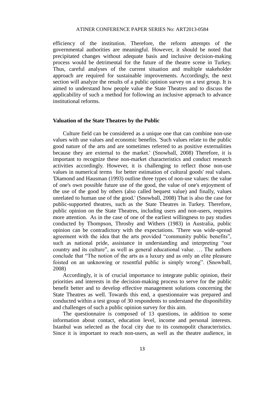efficiency of the institution. Therefore, the reform attempts of the governmental authorities are meaningful. However, it should be noted that precipitated changes without adequate basis and inclusive decision-making process would be detrimental for the future of the theatre scene in Turkey. Thus, careful analyses of the current situation and multiple stakeholder approach are required for sustainable improvements. Accordingly, the next section will analyze the results of a public opinion survey on a test group. It is aimed to understand how people value the State Theatres and to discuss the applicability of such a method for following an inclusive approach to advance institutional reforms.

#### **Valuation of the State Theatres by the Public**

Culture field can be considered as a unique one that can combine non-use values with use values and economic benefits. 'Such values relate to the public good nature of the arts and are sometimes referred to as positive externalities because they are external to the market.' (Snowball, 2008) Therefore, it is important to recognize these non-market characteristics and conduct research activities accordingly. However, it is challenging to reflect those non-use values in numerical terms for better estimation of cultural goods' real values. 'Diamond and Hausman (1993) outline three types of non-use values: the value of one's own possible future use of the good, the value of one's enjoyment of the use of the good by others (also called bequest value) and finally, values unrelated to human use of the good.' (Snowball, 2008) That is also the case for public-supported theatres, such as the State Theatres in Turkey. Therefore, public opinion on the State Theatres, including users and non-users, requires more attention. As in the case of one of the earliest willingness to pay studies conducted by Thompson, Throsby and Withers (1983) in Australia, public opinion can be contradictory with the expectations. 'There was wide-spread agreement with the idea that the arts provided "community public benefits", such as national pride, assistance in understanding and interpreting "our country and its culture", as well as general educational value. … The authors conclude that "The notion of the arts as a luxury and as only an elite pleasure foisted on an unknowing or resentful public is simply wrong". (Snowball, 2008)

Accordingly, it is of crucial importance to integrate public opinion, their priorities and interests in the decision-making process to serve for the public benefit better and to develop effective management solutions concerning the State Theatres as well. Towards this end, a questionnaire was prepared and conducted within a test group of 30 respondents to understand the disponibility and challenges of such a public opinion survey for this aim.

The questionnaire is composed of 13 questions, in addition to some information about contact, education level, income and personal interests. Istanbul was selected as the focal city due to its cosmopolit characteristics. Since it is important to reach non-users, as well as the theatre audience, in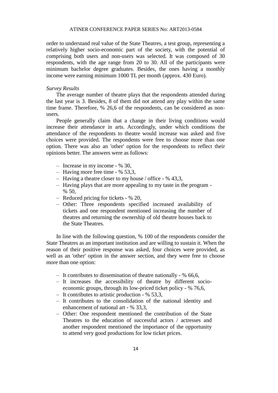order to understand real value of the State Theatres, a test group, representing a relatively higher socio-economic part of the society, with the potential of comprising both users and non-users was selected. It was composed of 30 respondents, with the age range from 20 to 30. All of the participants were minimum bachelor degree graduates. Besides, the ones having a monthly income were earning minimum 1000 TL per month (approx. 430 Euro).

#### *Survey Results*

The average number of theatre plays that the respondents attended during the last year is 3. Besides, 8 of them did not attend any play within the same time frame. Therefore, % 26,6 of the respondents, can be considered as nonusers.

People generally claim that a change in their living conditions would increase their attendance in arts. Accordingly, under which conditions the attendance of the respondents to theatre would increase was asked and five choices were provided. The respondents were free to choose more than one option. There was also an 'other' option for the respondents to reflect their opinions better. The answers were as follows:

- Increase in my income % 30,
- Having more free time % 53,3,
- Having a theatre closer to my house / office % 43,3,
- Having plays that are more appealing to my taste in the program  $% 50.$
- Reduced pricing for tickets % 20,
- Other: Three respondents specified increased availability of tickets and one respondent mentioned increasing the number of theatres and returning the ownership of old theatre houses back to the State Theatres.

In line with the following question, % 100 of the respondents consider the State Theatres as an important institution and are willing to sustain it. When the reason of their positive response was asked, four choices were provided, as well as an 'other' option in the answer section, and they were free to choose more than one option:

- It contributes to dissemination of theatre nationally % 66,6,
- It increases the accessibility of theatre by different socioeconomic groups, through its low-priced ticket policy - % 76,6,
- It contributes to artistic production % 53,3,
- It contributes to the consolidation of the national identity and enhancement of national art - % 33,3,
- Other: One respondent mentioned the contribution of the State Theatres to the education of successful actors / actresses and another respondent mentioned the importance of the opportunity to attend very good productions for low ticket prices.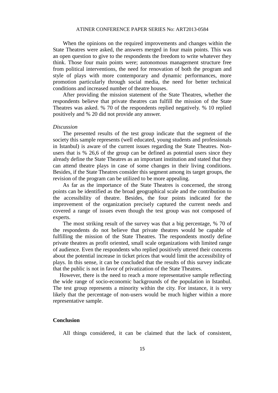When the opinions on the required improvements and changes within the State Theatres were asked, the answers merged in four main points. This was an open question to give to the respondents the freedom to write whatever they think. Those four main points were; autonomous management structure free from political interventions, the need for renovation of both the program and style of plays with more contemporary and dynamic performances, more promotion particularly through social media, the need for better technical conditions and increased number of theatre houses.

After providing the mission statement of the State Theatres, whether the respondents believe that private theatres can fulfill the mission of the State Theatres was asked. % 70 of the respondents replied negatively. % 10 replied positively and % 20 did not provide any answer.

#### *Discussion*

The presented results of the test group indicate that the segment of the society this sample represents (well educated, young students and professionals in Istanbul) is aware of the current issues regarding the State Theatres. Nonusers that is % 26,6 of the group can be defined as potential users since they already define the State Theatres as an important institution and stated that they can attend theatre plays in case of some changes in their living conditions. Besides, if the State Theatres consider this segment among its target groups, the revision of the program can be utilized to be more appealing.

As far as the importance of the State Theatres is concerned, the strong points can be identified as the broad geographical scale and the contribution to the accessibility of theatre. Besides, the four points indicated for the improvement of the organization precisely captured the current needs and covered a range of issues even though the test group was not composed of experts.

The most striking result of the survey was that a big percentage, % 70 of the respondents do not believe that private theatres would be capable of fulfilling the mission of the State Theatres. The respondents mostly define private theatres as profit oriented, small scale organizations with limited range of audience. Even the respondents who replied positively uttered their concerns about the potential increase in ticket prices that would limit the accessibility of plays. In this sense, it can be concluded that the results of this survey indicate that the public is not in favor of privatization of the State Theatres.

However, there is the need to reach a more representative sample reflecting the wide range of socio-economic backgrounds of the population in Istanbul. The test group represents a minority within the city. For instance, it is very likely that the percentage of non-users would be much higher within a more representative sample.

#### **Conclusion**

All things considered, it can be claimed that the lack of consistent,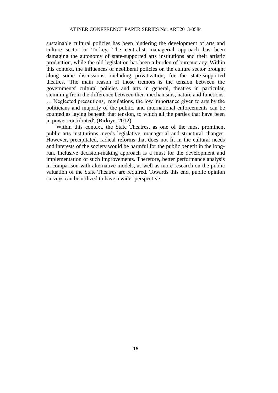sustainable cultural policies has been hindering the development of arts and culture sector in Turkey. The centralist managerial approach has been damaging the autonomy of state-supported arts institutions and their artistic production, while the old legislation has been a burden of bureaucracy. Within this context, the influences of neoliberal policies on the culture sector brought along some discussions, including privatization, for the state-supported theatres. 'The main reason of those tremors is the tension between the governments' cultural policies and arts in general, theatres in particular, stemming from the difference between their mechanisms, nature and functions. … Neglected precautions, regulations, the low importance given to arts by the politicians and majority of the public, and international enforcements can be counted as laying beneath that tension, to which all the parties that have been in power contributed'. (Birkiye, 2012)

Within this context, the State Theatres, as one of the most prominent public arts institutions, needs legislative, managerial and structural changes. However, precipitated, radical reforms that does not fit in the cultural needs and interests of the society would be harmful for the public benefit in the longrun. Inclusive decision-making approach is a must for the development and implementation of such improvements. Therefore, better performance analysis in comparison with alternative models, as well as more research on the public valuation of the State Theatres are required. Towards this end, public opinion surveys can be utilized to have a wider perspective.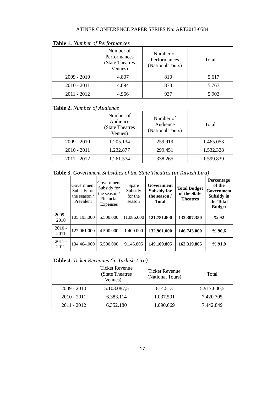|               | Number of<br>Performances<br>(State Theatres)<br>Venues) | Number of<br>Performances<br>(National Tours) | Total |
|---------------|----------------------------------------------------------|-----------------------------------------------|-------|
| $2009 - 2010$ | 4.807                                                    | 810                                           | 5.617 |
| $2010 - 2011$ | 4.894                                                    | 873                                           | 5.767 |
| $2011 - 2012$ | 4.966                                                    | 937                                           | 5.903 |

#### **Table 1.** *Number of Performances*

# **Table 2.** *Number of Audience*

|               | Number of<br>Audience<br>(State Theatres<br>Venues) | Number of<br>Audience<br>(National Tours) | Total     |  |
|---------------|-----------------------------------------------------|-------------------------------------------|-----------|--|
| $2009 - 2010$ | 1.205.134                                           | 259.919                                   | 1.465.053 |  |
| $2010 - 2011$ | 1.232.877                                           | 299.451                                   | 1.532.328 |  |
| $2011 - 2012$ | 1.261.574                                           | 338.265                                   | 1.599.839 |  |

**Table 3.** *Government Subsidies of the State Theatres (in Turkish Lira)*

|                  | Government<br>Subsidy for<br>the season $/$<br>Prevalent | Government<br>Subsidy for<br>the season $/$<br>Financial<br>Expenses | Spare<br>Subsidy<br>for the<br>season | Government<br><b>Subsidy for</b><br>the season /<br><b>Total</b> | <b>Total Budget</b><br>of the State<br><b>Theatres</b> | <b>Percentage</b><br>of the<br>Government<br>Subsidy in<br>the Total<br><b>Budget</b> |
|------------------|----------------------------------------------------------|----------------------------------------------------------------------|---------------------------------------|------------------------------------------------------------------|--------------------------------------------------------|---------------------------------------------------------------------------------------|
| $2009 -$<br>2010 | 105.195.000                                              | 5.500.000                                                            | 11.086.000                            | 121.781.000                                                      | 132,307,350                                            | %92                                                                                   |
| $2010 -$<br>2011 | 127.061.000                                              | 4.500.000                                                            | 1.400.000                             | 132.961.000                                                      | 146.743.000                                            | %90,6                                                                                 |
| $2011 -$<br>2012 | 134.464.000                                              | 5.500.000                                                            | 9.145.805                             | 149.109.805                                                      | 162.319.805                                            | %91,9                                                                                 |

|  | <b>Table 4.</b> Ticket Revenues (in Turkish Lira) |  |  |
|--|---------------------------------------------------|--|--|
|  |                                                   |  |  |

|               | <b>Ticket Revenue</b><br>(State Theatres<br>Venues) | Ticket Revenue<br>(National Tours) | Total       |
|---------------|-----------------------------------------------------|------------------------------------|-------------|
| $2009 - 2010$ | 5.103.087,5                                         | 814.513                            | 5.917.600,5 |
| $2010 - 2011$ | 6.383.114                                           | 1.037.591                          | 7.420.705   |
| $2011 - 2012$ | 6.352.180                                           | 1.090.669                          | 7.442.849   |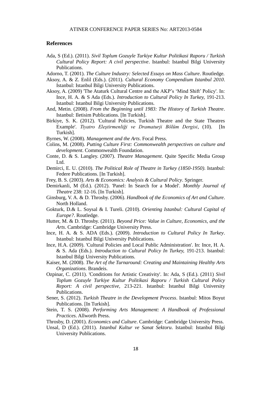#### **References**

Ada, S (Ed.). (2011). *Sivil Toplum Gozuyle Turkiye Kultur Politikasi Raporu / Turkish Cultural Policy Report: A civil perspective*. Istanbul: Istanbul Bilgi University Publications.

Adorno, T. (2001). *The Culture Industry: Selected Essays on Mass Culture*. Routledge.

- Aksoy, A. & Z. Enlil (Eds.). (2011). *Cultural Economy Compendium Istanbul 2010*. Istanbul: Istanbul Bilgi University Publications.
- Aksoy, A. (2009) 'The Ataturk Cultural Centre and the AKP's 'Mind Shift' Policy'. In: Ince, H. A. & S Ada (Eds.). *Introduction to Cultural Policy In Turkey,* 191-213. Istanbul: Istanbul Bilgi University Publications.
- And, Metin. (2008). *From the Beginning until 1983: The History of Turkish Theatre*. Istanbul: Iletisim Publications. [In Turkish].
- Birkiye, S. K. (2012). 'Cultural Policies, Turkish Theatre and the State Theatres Example'. *Tivatro Elestirmenliği ve Dramaturii Bölüm Dergisi*, (10). Turkish].
- Byrnes, W. (2008). *Management and the Arts*. Focal Press.
- Colins, M. (2008). *Putting Culture First: Commonwealth perspectives on culture and development*. Commonwealth Foundation.
- Conte, D. & S. Langley. (2007). *Theatre Management*. Quite Specific Media Group Ltd.
- Demirci, E. U. (2010). *The Political Role of Theatre in Turkey (1850-1950)*. Istanbul: Federe Publications. [In Turkish].
- Frey, B. S. (2003). *Arts & Economics: Analysis & Cultural Policy*. Springer.
- Demirkanli, M (Ed.). (2012). 'Panel: In Search for a Model'. *Monthly Journal of Theatre* 238: 12-16. [In Turkish].
- Ginsburg, V. A. & D. Throsby. (2006). *Handbook of the Economics of Art and Culture*. North Holland.
- Gokturk, D.& L. Soysal & I. Tureli. (2010). *Orienting Istanbul: Cultural Capital of Europe?*. Routledge.
- Hutter, M. & D. Throsby. (2011). *Beyond Price: Value in Culture, Economics, and the Arts*. Cambridge: Cambridge University Press.
- Ince, H. A. & S. ADA (Eds.). (2009). *Introduction to Cultural Policy In Turkey*. Istanbul: Istanbul Bilgi University Publications.
- Ince, H.A. (2009). 'Cultural Policies and Local Public Administration'. In: Ince, H. A. & S. Ada (Eds.). *Introduction to Cultural Policy In Turkey,* 191-213. Istanbul: Istanbul Bilgi University Publications.
- Kaiser, M. (2008). *The Art of the Turnaround: Creating and Maintaining Healthy Arts Organizations*. Brandeis.
- Ozpinar, C. (2011). 'Conditions for Artistic Creativity'. In: Ada, S (Ed.). (2011) *Sivil Toplum Gozuyle Turkiye Kultur Politikasi Raporu / Turkish Cultural Policy Report: A civil perspective,* 213-221. Istanbul: Istanbul Bilgi University Publications.
- Sener, S. (2012). *Turkish Theatre in the Development Process*. Istanbul: Mitos Boyut Publications. [In Turkish].
- Stein, T. S. (2008). *Performing Arts Management: A Handbook of Professional Practices*. Allworth Press.
- Throsby, D. (2001). *Economics and Culture*. Cambridge: Cambridge University Press.
- Unsal, D (Ed.). (2011). *Istanbul Kultur ve Sanat Sektoru*. Istanbul: Istanbul Bilgi University Publications.